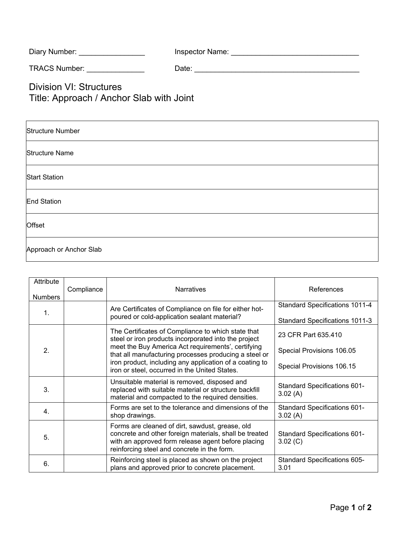| Diary Number: | Inspector Name: |  |
|---------------|-----------------|--|
|---------------|-----------------|--|

TRACS Number: \_\_\_\_\_\_\_\_\_\_\_\_\_\_ Date: \_\_\_\_\_\_\_\_\_\_\_\_\_\_\_\_\_\_\_\_\_\_\_\_\_\_\_\_\_\_\_\_\_\_\_\_\_\_\_\_

Division VI: Structures Title: Approach / Anchor Slab with Joint

| <b>Structure Number</b> |
|-------------------------|
| <b>Structure Name</b>   |
| <b>Start Station</b>    |
| <b>End Station</b>      |
| Offset                  |
| Approach or Anchor Slab |

| Attribute<br><b>Numbers</b> | Compliance | <b>Narratives</b>                                                                                                                                                                                              | References                                                                     |
|-----------------------------|------------|----------------------------------------------------------------------------------------------------------------------------------------------------------------------------------------------------------------|--------------------------------------------------------------------------------|
| $\mathbf{1}$ .              |            | Are Certificates of Compliance on file for either hot-<br>poured or cold-application sealant material?                                                                                                         | <b>Standard Specifications 1011-4</b><br><b>Standard Specifications 1011-3</b> |
|                             |            | The Certificates of Compliance to which state that<br>steel or iron products incorporated into the project<br>meet the Buy America Act requirements', certifying                                               | 23 CFR Part 635.410                                                            |
| 2 <sub>1</sub>              |            | that all manufacturing processes producing a steel or<br>iron product, including any application of a coating to<br>iron or steel, occurred in the United States.                                              | Special Provisions 106.05<br>Special Provisions 106.15                         |
| 3.                          |            | Unsuitable material is removed, disposed and<br>replaced with suitable material or structure backfill<br>material and compacted to the required densities.                                                     | <b>Standard Specifications 601-</b><br>3.02(A)                                 |
| 4.                          |            | Forms are set to the tolerance and dimensions of the<br>shop drawings.                                                                                                                                         | <b>Standard Specifications 601-</b><br>3.02(A)                                 |
| 5.                          |            | Forms are cleaned of dirt, sawdust, grease, old<br>concrete and other foreign materials, shall be treated<br>with an approved form release agent before placing<br>reinforcing steel and concrete in the form. | <b>Standard Specifications 601-</b><br>3.02 (C)                                |
| 6.                          |            | Reinforcing steel is placed as shown on the project<br>plans and approved prior to concrete placement.                                                                                                         | Standard Specifications 605-<br>3.01                                           |